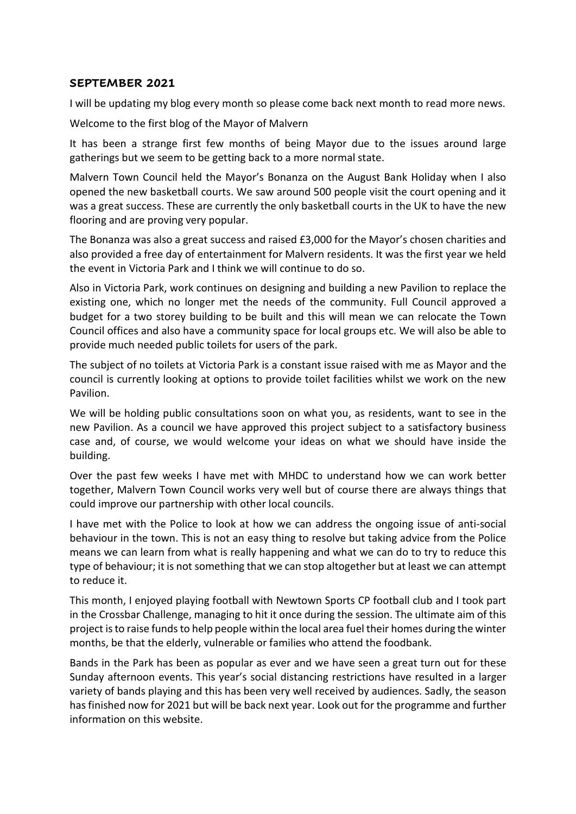## **SEPTEMBER 2021**

I will be updating my blog every month so please come back next month to read more news.

Welcome to the first blog of the Mayor of Malvern

It has been a strange first few months of being Mayor due to the issues around large gatherings but we seem to be getting back to a more normal state.

Malvern Town Council held the Mayor's Bonanza on the August Bank Holiday when I also opened the new basketball courts. We saw around 500 people visit the court opening and it was a great success. These are currently the only basketball courts in the UK to have the new flooring and are proving very popular.

The Bonanza was also a great success and raised £3,000 for the Mayor's chosen charities and also provided a free day of entertainment for Malvern residents. It was the first year we held the event in Victoria Park and I think we will continue to do so.

Also in Victoria Park, work continues on designing and building a new Pavilion to replace the existing one, which no longer met the needs of the community. Full Council approved a budget for a two storey building to be built and this will mean we can relocate the Town Council offices and also have a community space for local groups etc. We will also be able to provide much needed public toilets for users of the park.

The subject of no toilets at Victoria Park is a constant issue raised with me as Mayor and the council is currently looking at options to provide toilet facilities whilst we work on the new Pavilion.

We will be holding public consultations soon on what you, as residents, want to see in the new Pavilion. As a council we have approved this project subject to a satisfactory business case and, of course, we would welcome your ideas on what we should have inside the building.

Over the past few weeks I have met with MHDC to understand how we can work better together, Malvern Town Council works very well but of course there are always things that could improve our partnership with other local councils.

I have met with the Police to look at how we can address the ongoing issue of anti-social behaviour in the town. This is not an easy thing to resolve but taking advice from the Police means we can learn from what is really happening and what we can do to try to reduce this type of behaviour; it is not something that we can stop altogether but at least we can attempt to reduce it.

This month, I enjoyed playing football with Newtown Sports CP football club and I took part in the Crossbar Challenge, managing to hit it once during the session. The ultimate aim of this project is to raise funds to help people within the local area fuel their homes during the winter months, be that the elderly, vulnerable or families who attend the foodbank.

Bands in the Park has been as popular as ever and we have seen a great turn out for these Sunday afternoon events. This year's social distancing restrictions have resulted in a larger variety of bands playing and this has been very well received by audiences. Sadly, the season has finished now for 2021 but will be back next year. Look out for the programme and further information on this website.